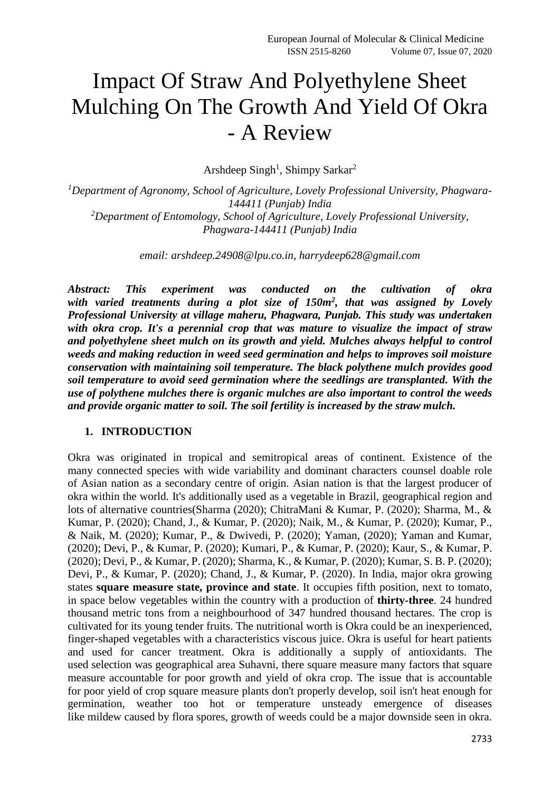# Impact Of Straw And Polyethylene Sheet Mulching On The Growth And Yield Of Okra - A Review

Arshdeep Singh<sup>1</sup>, Shimpy Sarkar<sup>2</sup>

*<sup>1</sup>Department of Agronomy, School of Agriculture, Lovely Professional University, Phagwara-144411 (Punjab) India <sup>2</sup>Department of Entomology, School of Agriculture, Lovely Professional University, Phagwara-144411 (Punjab) India*

*email: arshdeep.24908@lpu.co.in, harrydeep628@gmail.com*

*Abstract: This experiment was conducted on the cultivation of okra with varied treatments during a plot size of 150m<sup>2</sup> , that was assigned by Lovely Professional University at village maheru, Phagwara, Punjab. This study was undertaken with okra crop. It's a perennial crop that was mature to visualize the impact of straw and polyethylene sheet mulch on its growth and yield. Mulches always helpful to control weeds and making reduction in weed seed germination and helps to improves soil moisture conservation with maintaining soil temperature. The black polythene mulch provides good soil temperature to avoid seed germination where the seedlings are transplanted. With the use of polythene mulches there is organic mulches are also important to control the weeds and provide organic matter to soil. The soil fertility is increased by the straw mulch.*

#### **1. INTRODUCTION**

Okra was originated in tropical and semitropical areas of continent. Existence of the many connected species with wide variability and dominant characters counsel doable role of Asian nation as a secondary centre of origin. Asian nation is that the largest producer of okra within the world. It's additionally used as a vegetable in Brazil, geographical region and lots of alternative countries(Sharma (2020); ChitraMani & Kumar, P. (2020); Sharma, M., & Kumar, P. (2020); Chand, J., & Kumar, P. (2020); Naik, M., & Kumar, P. (2020); Kumar, P., & Naik, M. (2020); Kumar, P., & Dwivedi, P. (2020); Yaman, (2020); Yaman and Kumar, (2020); Devi, P., & Kumar, P. (2020); Kumari, P., & Kumar, P. (2020); Kaur, S., & Kumar, P. (2020); Devi, P., & Kumar, P. (2020); Sharma, K., & Kumar, P. (2020); Kumar, S. B. P. (2020); Devi, P., & Kumar, P. (2020); Chand, J., & Kumar, P. (2020). In India, major okra growing states **square measure state, province and state**. It occupies fifth position, next to tomato, in space below vegetables within the country with a production of **thirty-three**. 24 hundred thousand metric tons from a neighbourhood of 347 hundred thousand hectares. The crop is cultivated for its young tender fruits. The nutritional worth is Okra could be an inexperienced, finger-shaped vegetables with a characteristics viscous juice. Okra is useful for heart patients and used for cancer treatment. Okra is additionally a supply of antioxidants. The used selection was geographical area Suhavni, there square measure many factors that square measure accountable for poor growth and yield of okra crop. The issue that is accountable for poor yield of crop square measure plants don't properly develop, soil isn't heat enough for germination, weather too hot or temperature unsteady emergence of diseases like mildew caused by flora spores, growth of weeds could be a major downside seen in okra.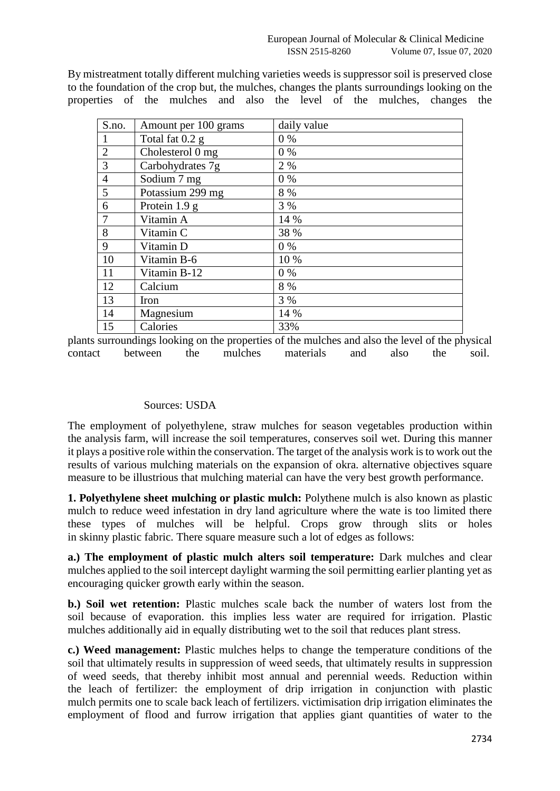By mistreatment totally different mulching varieties weeds is suppressor soil is preserved close to the foundation of the crop but, the mulches, changes the plants surroundings looking on the properties of the mulches and also the level of the mulches, changes the

| S.no.          | Amount per 100 grams | daily value |
|----------------|----------------------|-------------|
|                | Total fat 0.2 g      | $0\%$       |
| $\overline{2}$ | Cholesterol 0 mg     | $0\%$       |
| 3              | Carbohydrates 7g     | 2 %         |
| $\overline{4}$ | Sodium 7 mg          | 0%          |
| 5              | Potassium 299 mg     | 8 %         |
| 6              | Protein 1.9 g        | 3 %         |
| $\overline{7}$ | Vitamin A            | 14 %        |
| 8              | Vitamin C            | 38 %        |
| 9              | Vitamin D            | $0\%$       |
| 10             | Vitamin B-6          | 10 %        |
| 11             | Vitamin B-12         | $0\%$       |
| 12             | Calcium              | 8 %         |
| 13             | Iron                 | 3 %         |
| 14             | Magnesium            | 14 %        |
| 15             | Calories             | 33%         |

plants surroundings looking on the properties of the mulches and also the level of the physical contact between the mulches materials and also the soil.

### Sources: USDA

The employment of polyethylene, straw mulches for season vegetables production within the analysis farm, will increase the soil temperatures, conserves soil wet. During this manner it plays a positive role within the conservation. The target of the analysis work isto work out the results of various mulching materials on the expansion of okra. alternative objectives square measure to be illustrious that mulching material can have the very best growth performance.

**1. Polyethylene sheet mulching or plastic mulch:** Polythene mulch is also known as plastic mulch to reduce weed infestation in dry land agriculture where the wate is too limited there these types of mulches will be helpful. Crops grow through slits or holes in skinny plastic fabric. There square measure such a lot of edges as follows:

**a.) The employment of plastic mulch alters soil temperature:** Dark mulches and clear mulches applied to the soil intercept daylight warming the soil permitting earlier planting yet as encouraging quicker growth early within the season.

**b.) Soil wet retention:** Plastic mulches scale back the number of waters lost from the soil because of evaporation. this implies less water are required for irrigation. Plastic mulches additionally aid in equally distributing wet to the soil that reduces plant stress.

**c.) Weed management:** Plastic mulches helps to change the temperature conditions of the soil that ultimately results in suppression of weed seeds, that ultimately results in suppression of weed seeds, that thereby inhibit most annual and perennial weeds. Reduction within the leach of fertilizer: the employment of drip irrigation in conjunction with plastic mulch permits one to scale back leach of fertilizers. victimisation drip irrigation eliminates the employment of flood and furrow irrigation that applies giant quantities of water to the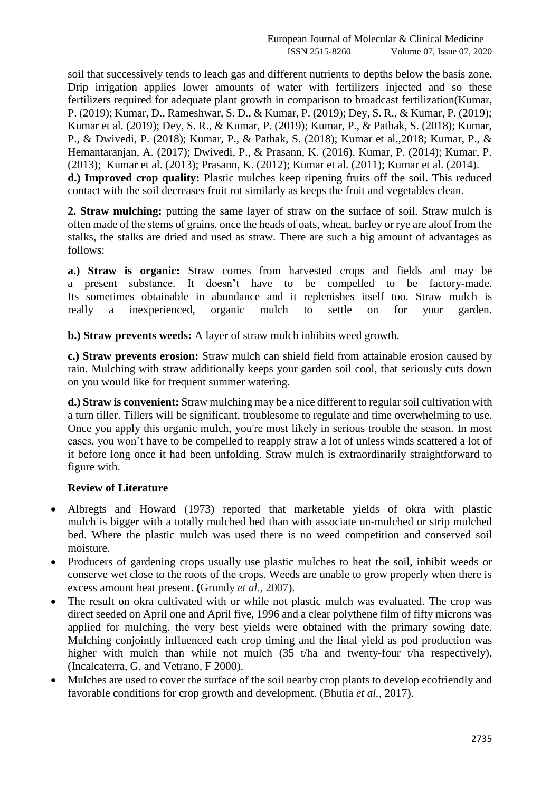soil that successively tends to leach gas and different nutrients to depths below the basis zone. Drip irrigation applies lower amounts of water with fertilizers injected and so these fertilizers required for adequate plant growth in comparison to broadcast fertilization(Kumar, P. (2019); Kumar, D., Rameshwar, S. D., & Kumar, P. (2019); Dey, S. R., & Kumar, P. (2019); Kumar et al. (2019); Dey, S. R., & Kumar, P. (2019); Kumar, P., & Pathak, S. (2018); Kumar, P., & Dwivedi, P. (2018); Kumar, P., & Pathak, S. (2018); Kumar et al.,2018; Kumar, P., & Hemantaranjan, A. (2017); Dwivedi, P., & Prasann, K. (2016). Kumar, P. (2014); Kumar, P. (2013); Kumar et al. (2013); Prasann, K. (2012); Kumar et al. (2011); Kumar et al. (2014). **d.) Improved crop quality:** Plastic mulches keep ripening fruits off the soil. This reduced contact with the soil decreases fruit rot similarly as keeps the fruit and vegetables clean.

**2. Straw mulching:** putting the same layer of straw on the surface of soil. Straw mulch is often made of the stems of grains. once the heads of oats, wheat, barley or rye are aloof from the stalks, the stalks are dried and used as straw. There are such a big amount of advantages as follows:

**a.) Straw is organic:** Straw comes from harvested crops and fields and may be a present substance. It doesn't have to be compelled to be factory-made. Its sometimes obtainable in abundance and it replenishes itself too. Straw mulch is really a inexperienced, organic mulch to settle on for your garden.

**b.) Straw prevents weeds:** A layer of straw mulch inhibits weed growth.

**c.) Straw prevents erosion:** Straw mulch can shield field from attainable erosion caused by rain. Mulching with straw additionally keeps your garden soil cool, that seriously cuts down on you would like for frequent summer watering.

**d.) Straw is convenient:** Straw mulching may be a nice different to regular soil cultivation with a turn tiller. Tillers will be significant, troublesome to regulate and time overwhelming to use. Once you apply this organic mulch, you're most likely in serious trouble the season. In most cases, you won't have to be compelled to reapply straw a lot of unless winds scattered a lot of it before long once it had been unfolding. Straw mulch is extraordinarily straightforward to figure with.

### **Review of Literature**

- Albregts and Howard (1973) reported that marketable yields of okra with plastic mulch is bigger with a totally mulched bed than with associate un-mulched or strip mulched bed. Where the plastic mulch was used there is no weed competition and conserved soil moisture.
- Producers of gardening crops usually use plastic mulches to heat the soil, inhibit weeds or conserve wet close to the roots of the crops. Weeds are unable to grow properly when there is excess amount heat present. **(**Grundy *et al.,* 2007).
- The result on okra cultivated with or while not plastic mulch was evaluated. The crop was direct seeded on April one and April five, 1996 and a clear polythene film of fifty microns was applied for mulching. the very best yields were obtained with the primary sowing date. Mulching conjointly influenced each crop timing and the final yield as pod production was higher with mulch than while not mulch (35 t/ha and twenty-four t/ha respectively). (Incalcaterra, G. and Vetrano, F 2000).
- Mulches are used to cover the surface of the soil nearby crop plants to develop ecofriendly and favorable conditions for crop growth and development. (Bhutia *et al.,* 2017).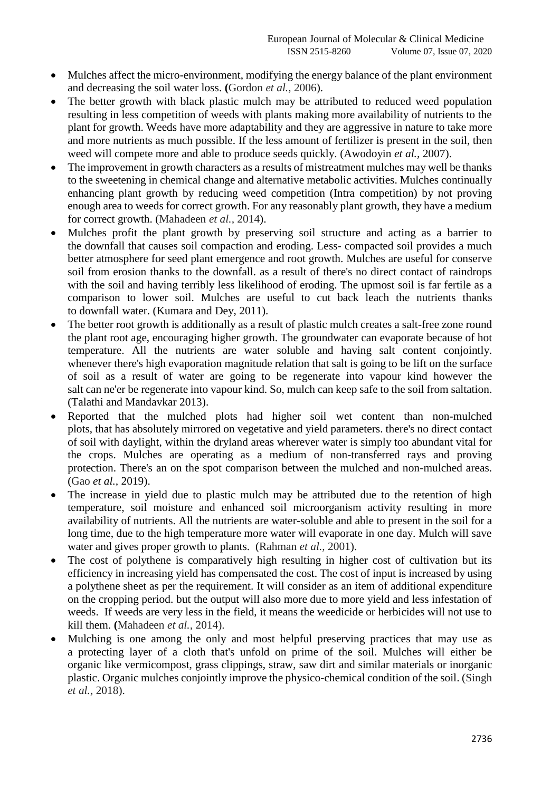- Mulches affect the micro-environment, modifying the energy balance of the plant environment and decreasing the soil water loss. **(**Gordon *et al.,* 2006).
- The better growth with black plastic mulch may be attributed to reduced weed population resulting in less competition of weeds with plants making more availability of nutrients to the plant for growth. Weeds have more adaptability and they are aggressive in nature to take more and more nutrients as much possible. If the less amount of fertilizer is present in the soil, then weed will compete more and able to produce seeds quickly. (Awodoyin *et al.,* 2007).
- The improvement in growth characters as a results of mistreatment mulches may well be thanks to the sweetening in chemical change and alternative metabolic activities. Mulches continually enhancing plant growth by reducing weed competition (Intra competition) by not proving enough area to weeds for correct growth. For any reasonably plant growth, they have a medium for correct growth. (Mahadeen *et al.,* 2014).
- Mulches profit the plant growth by preserving soil structure and acting as a barrier to the downfall that causes soil compaction and eroding. Less- compacted soil provides a much better atmosphere for seed plant emergence and root growth. Mulches are useful for conserve soil from erosion thanks to the downfall. as a result of there's no direct contact of raindrops with the soil and having terribly less likelihood of eroding. The upmost soil is far fertile as a comparison to lower soil. Mulches are useful to cut back leach the nutrients thanks to downfall water. (Kumara and Dey, 2011).
- The better root growth is additionally as a result of plastic mulch creates a salt-free zone round the plant root age, encouraging higher growth. The groundwater can evaporate because of hot temperature. All the nutrients are water soluble and having salt content conjointly. whenever there's high evaporation magnitude relation that salt is going to be lift on the surface of soil as a result of water are going to be regenerate into vapour kind however the salt can ne'er be regenerate into vapour kind. So, mulch can keep safe to the soil from saltation. (Talathi and Mandavkar 2013).
- Reported that the mulched plots had higher soil wet content than non-mulched plots, that has absolutely mirrored on vegetative and yield parameters. there's no direct contact of soil with daylight, within the dryland areas wherever water is simply too abundant vital for the crops. Mulches are operating as a medium of non-transferred rays and proving protection. There's an on the spot comparison between the mulched and non-mulched areas. (Gao *et al.,* 2019).
- The increase in yield due to plastic mulch may be attributed due to the retention of high temperature, soil moisture and enhanced soil microorganism activity resulting in more availability of nutrients. All the nutrients are water-soluble and able to present in the soil for a long time, due to the high temperature more water will evaporate in one day. Mulch will save water and gives proper growth to plants. (Rahman *et al.,* 2001).
- The cost of polythene is comparatively high resulting in higher cost of cultivation but its efficiency in increasing yield has compensated the cost. The cost of input is increased by using a polythene sheet as per the requirement. It will consider as an item of additional expenditure on the cropping period. but the output will also more due to more yield and less infestation of weeds. If weeds are very less in the field, it means the weedicide or herbicides will not use to kill them. **(**Mahadeen *et al.,* 2014).
- Mulching is one among the only and most helpful preserving practices that may use as a protecting layer of a cloth that's unfold on prime of the soil. Mulches will either be organic like vermicompost, grass clippings, straw, saw dirt and similar materials or inorganic plastic. Organic mulches conjointly improve the physico-chemical condition of the soil. (Singh *et al.,* 2018).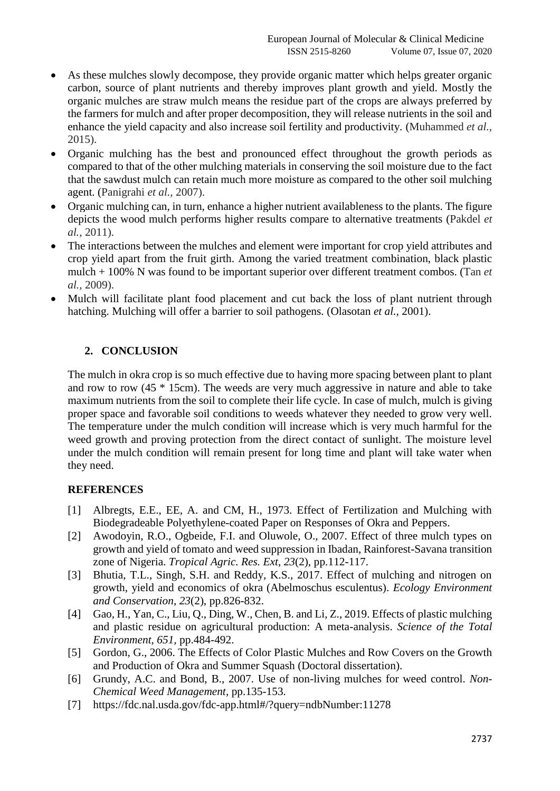- As these mulches slowly decompose, they provide organic matter which helps greater organic carbon, source of plant nutrients and thereby improves plant growth and yield. Mostly the organic mulches are straw mulch means the residue part of the crops are always preferred by the farmers for mulch and after proper decomposition, they will release nutrients in the soil and enhance the yield capacity and also increase soil fertility and productivity. (Muhammed *et al.,* 2015).
- Organic mulching has the best and pronounced effect throughout the growth periods as compared to that of the other mulching materials in conserving the soil moisture due to the fact that the sawdust mulch can retain much more moisture as compared to the other soil mulching agent. (Panigrahi *et al.,* 2007).
- Organic mulching can, in turn, enhance a higher nutrient availableness to the plants. The figure depicts the wood mulch performs higher results compare to alternative treatments (Pakdel *et al.,* 2011).
- The interactions between the mulches and element were important for crop yield attributes and crop yield apart from the fruit girth. Among the varied treatment combination, black plastic mulch + 100% N was found to be important superior over different treatment combos. (Tan *et al.,* 2009).
- Mulch will facilitate plant food placement and cut back the loss of plant nutrient through hatching. Mulching will offer a barrier to soil pathogens. (Olasotan *et al.,* 2001).

## **2. CONCLUSION**

The mulch in okra crop is so much effective due to having more spacing between plant to plant and row to row (45 \* 15cm). The weeds are very much aggressive in nature and able to take maximum nutrients from the soil to complete their life cycle. In case of mulch, mulch is giving proper space and favorable soil conditions to weeds whatever they needed to grow very well. The temperature under the mulch condition will increase which is very much harmful for the weed growth and proving protection from the direct contact of sunlight. The moisture level under the mulch condition will remain present for long time and plant will take water when they need.

### **REFERENCES**

- [1] Albregts, E.E., EE, A. and CM, H., 1973. Effect of Fertilization and Mulching with Biodegradeable Polyethylene-coated Paper on Responses of Okra and Peppers.
- [2] Awodoyin, R.O., Ogbeide, F.I. and Oluwole, O., 2007. Effect of three mulch types on growth and yield of tomato and weed suppression in Ibadan, Rainforest-Savana transition zone of Nigeria. *Tropical Agric. Res. Ext*, *23*(2), pp.112-117.
- [3] Bhutia, T.L., Singh, S.H. and Reddy, K.S., 2017. Effect of mulching and nitrogen on growth, yield and economics of okra (Abelmoschus esculentus). *Ecology Environment and Conservation*, *23*(2), pp.826-832.
- [4] Gao, H., Yan, C., Liu, O., Ding, W., Chen, B. and Li, Z., 2019. Effects of plastic mulching and plastic residue on agricultural production: A meta-analysis. *Science of the Total Environment*, *651*, pp.484-492.
- [5] Gordon, G., 2006. The Effects of Color Plastic Mulches and Row Covers on the Growth and Production of Okra and Summer Squash (Doctoral dissertation).
- [6] Grundy, A.C. and Bond, B., 2007. Use of non-living mulches for weed control. *Non-Chemical Weed Management*, pp.135-153.
- [7] <https://fdc.nal.usda.gov/fdc-app.html#/?query=ndbNumber:11278>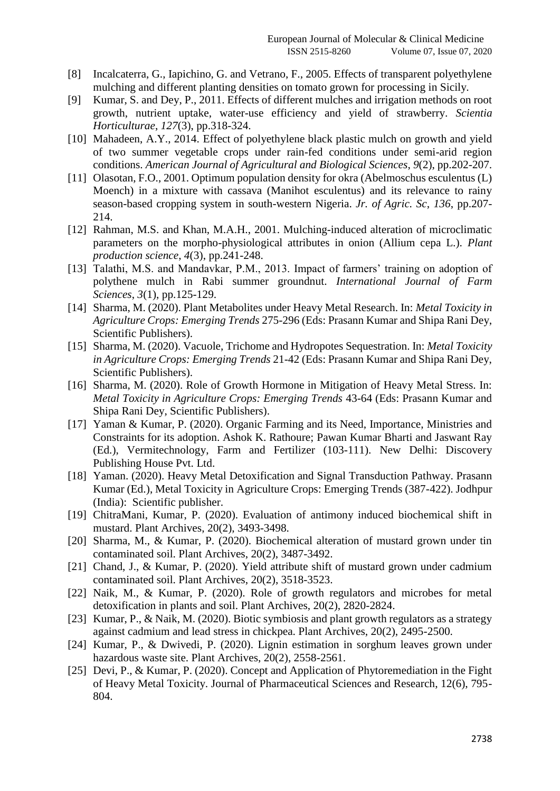- [8] Incalcaterra, G., Iapichino, G. and Vetrano, F., 2005. Effects of transparent polyethylene mulching and different planting densities on tomato grown for processing in Sicily.
- [9] Kumar, S. and Dey, P., 2011. Effects of different mulches and irrigation methods on root growth, nutrient uptake, water-use efficiency and yield of strawberry. *Scientia Horticulturae*, *127*(3), pp.318-324.
- [10] Mahadeen, A.Y., 2014. Effect of polyethylene black plastic mulch on growth and yield of two summer vegetable crops under rain-fed conditions under semi-arid region conditions. *American Journal of Agricultural and Biological Sciences*, *9*(2), pp.202-207.
- [11] Olasotan, F.O., 2001. Optimum population density for okra (Abelmoschus esculentus (L) Moench) in a mixture with cassava (Manihot esculentus) and its relevance to rainy season-based cropping system in south-western Nigeria. *Jr. of Agric. Sc*, *136*, pp.207- 214.
- [12] Rahman, M.S. and Khan, M.A.H., 2001. Mulching-induced alteration of microclimatic parameters on the morpho-physiological attributes in onion (Allium cepa L.). *Plant production science*, *4*(3), pp.241-248.
- [13] Talathi, M.S. and Mandavkar, P.M., 2013. Impact of farmers' training on adoption of polythene mulch in Rabi summer groundnut. *International Journal of Farm Sciences*, *3*(1), pp.125-129.
- [14] Sharma, M. (2020). Plant Metabolites under Heavy Metal Research. In: *Metal Toxicity in Agriculture Crops: Emerging Trends* 275-296 (Eds: Prasann Kumar and Shipa Rani Dey, Scientific Publishers).
- [15] Sharma, M. (2020). Vacuole, Trichome and Hydropotes Sequestration. In: *Metal Toxicity in Agriculture Crops: Emerging Trends* 21-42 (Eds: Prasann Kumar and Shipa Rani Dey, Scientific Publishers).
- [16] Sharma, M. (2020). Role of Growth Hormone in Mitigation of Heavy Metal Stress. In: *Metal Toxicity in Agriculture Crops: Emerging Trends* 43-64 (Eds: Prasann Kumar and Shipa Rani Dey, Scientific Publishers).
- [17] Yaman & Kumar, P. (2020). Organic Farming and its Need, Importance, Ministries and Constraints for its adoption. Ashok K. Rathoure; Pawan Kumar Bharti and Jaswant Ray (Ed.), Vermitechnology, Farm and Fertilizer (103-111). New Delhi: Discovery Publishing House Pvt. Ltd.
- [18] Yaman. (2020). Heavy Metal Detoxification and Signal Transduction Pathway. Prasann Kumar (Ed.), Metal Toxicity in Agriculture Crops: Emerging Trends (387-422). Jodhpur (India): Scientific publisher.
- [19] ChitraMani, Kumar, P. (2020). Evaluation of antimony induced biochemical shift in mustard. Plant Archives, 20(2), 3493-3498.
- [20] Sharma, M., & Kumar, P. (2020). Biochemical alteration of mustard grown under tin contaminated soil. Plant Archives, 20(2), 3487-3492.
- [21] Chand, J., & Kumar, P. (2020). Yield attribute shift of mustard grown under cadmium contaminated soil. Plant Archives, 20(2), 3518-3523.
- [22] Naik, M., & Kumar, P. (2020). Role of growth regulators and microbes for metal detoxification in plants and soil. Plant Archives, 20(2), 2820-2824.
- [23] Kumar, P., & Naik, M. (2020). Biotic symbiosis and plant growth regulators as a strategy against cadmium and lead stress in chickpea. Plant Archives, 20(2), 2495-2500.
- [24] Kumar, P., & Dwivedi, P. (2020). Lignin estimation in sorghum leaves grown under hazardous waste site. Plant Archives, 20(2), 2558-2561.
- [25] Devi, P., & Kumar, P. (2020). Concept and Application of Phytoremediation in the Fight of Heavy Metal Toxicity. Journal of Pharmaceutical Sciences and Research, 12(6), 795- 804.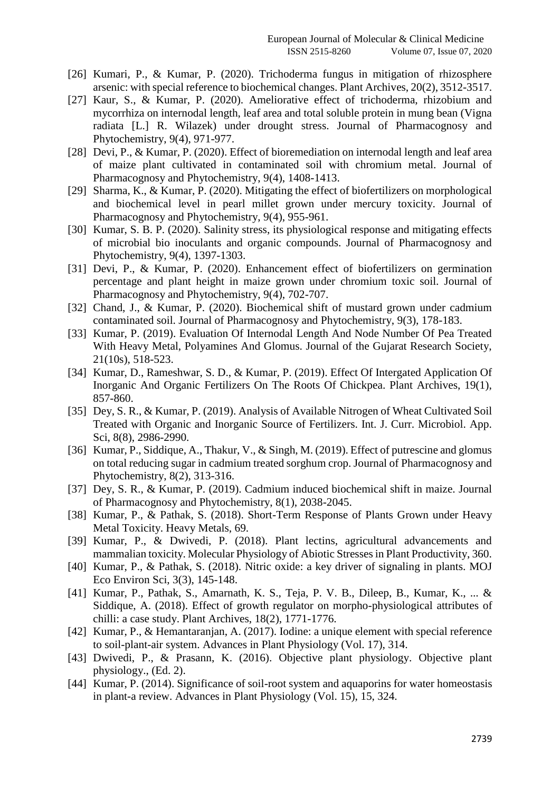- [26] Kumari, P., & Kumar, P. (2020). Trichoderma fungus in mitigation of rhizosphere arsenic: with special reference to biochemical changes. Plant Archives, 20(2), 3512-3517.
- [27] Kaur, S., & Kumar, P. (2020). Ameliorative effect of trichoderma, rhizobium and mycorrhiza on internodal length, leaf area and total soluble protein in mung bean (Vigna radiata [L.] R. Wilazek) under drought stress. Journal of Pharmacognosy and Phytochemistry, 9(4), 971-977.
- [28] Devi, P., & Kumar, P. (2020). Effect of bioremediation on internodal length and leaf area of maize plant cultivated in contaminated soil with chromium metal. Journal of Pharmacognosy and Phytochemistry, 9(4), 1408-1413.
- [29] Sharma, K., & Kumar, P. (2020). Mitigating the effect of biofertilizers on morphological and biochemical level in pearl millet grown under mercury toxicity. Journal of Pharmacognosy and Phytochemistry, 9(4), 955-961.
- [30] Kumar, S. B. P. (2020). Salinity stress, its physiological response and mitigating effects of microbial bio inoculants and organic compounds. Journal of Pharmacognosy and Phytochemistry, 9(4), 1397-1303.
- [31] Devi, P., & Kumar, P. (2020). Enhancement effect of biofertilizers on germination percentage and plant height in maize grown under chromium toxic soil. Journal of Pharmacognosy and Phytochemistry, 9(4), 702-707.
- [32] Chand, J., & Kumar, P. (2020). Biochemical shift of mustard grown under cadmium contaminated soil. Journal of Pharmacognosy and Phytochemistry, 9(3), 178-183.
- [33] Kumar, P. (2019). Evaluation Of Internodal Length And Node Number Of Pea Treated With Heavy Metal, Polyamines And Glomus. Journal of the Gujarat Research Society, 21(10s), 518-523.
- [34] Kumar, D., Rameshwar, S. D., & Kumar, P. (2019). Effect Of Intergated Application Of Inorganic And Organic Fertilizers On The Roots Of Chickpea. Plant Archives, 19(1), 857-860.
- [35] Dey, S. R., & Kumar, P. (2019). Analysis of Available Nitrogen of Wheat Cultivated Soil Treated with Organic and Inorganic Source of Fertilizers. Int. J. Curr. Microbiol. App. Sci, 8(8), 2986-2990.
- [36] Kumar, P., Siddique, A., Thakur, V., & Singh, M. (2019). Effect of putrescine and glomus on total reducing sugar in cadmium treated sorghum crop. Journal of Pharmacognosy and Phytochemistry, 8(2), 313-316.
- [37] Dey, S. R., & Kumar, P. (2019). Cadmium induced biochemical shift in maize. Journal of Pharmacognosy and Phytochemistry, 8(1), 2038-2045.
- [38] Kumar, P., & Pathak, S. (2018). Short-Term Response of Plants Grown under Heavy Metal Toxicity. Heavy Metals, 69.
- [39] Kumar, P., & Dwivedi, P. (2018). Plant lectins, agricultural advancements and mammalian toxicity. Molecular Physiology of Abiotic Stresses in Plant Productivity, 360.
- [40] Kumar, P., & Pathak, S. (2018). Nitric oxide: a key driver of signaling in plants. MOJ Eco Environ Sci, 3(3), 145-148.
- [41] Kumar, P., Pathak, S., Amarnath, K. S., Teja, P. V. B., Dileep, B., Kumar, K., ... & Siddique, A. (2018). Effect of growth regulator on morpho-physiological attributes of chilli: a case study. Plant Archives, 18(2), 1771-1776.
- [42] Kumar, P., & Hemantaranjan, A. (2017). Iodine: a unique element with special reference to soil-plant-air system. Advances in Plant Physiology (Vol. 17), 314.
- [43] Dwivedi, P., & Prasann, K. (2016). Objective plant physiology. Objective plant physiology., (Ed. 2).
- [44] Kumar, P. (2014). Significance of soil-root system and aquaporins for water homeostasis in plant-a review. Advances in Plant Physiology (Vol. 15), 15, 324.